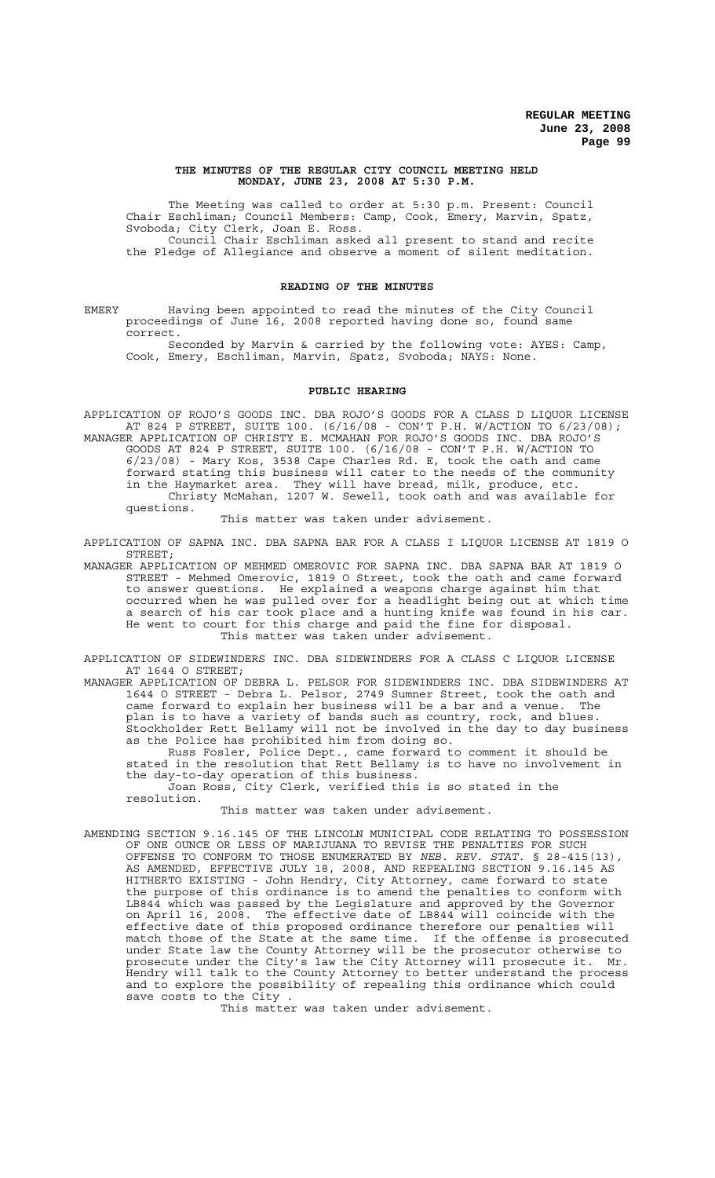#### **THE MINUTES OF THE REGULAR CITY COUNCIL MEETING HELD MONDAY, JUNE 23, 2008 AT 5:30 P.M.**

The Meeting was called to order at 5:30 p.m. Present: Council Chair Eschliman; Council Members: Camp, Cook, Emery, Marvin, Spatz, Svoboda; City Clerk, Joan E. Ross. Council Chair Eschliman asked all present to stand and recite

the Pledge of Allegiance and observe a moment of silent meditation.

#### **READING OF THE MINUTES**

EMERY Having been appointed to read the minutes of the City Council proceedings of June 16, 2008 reported having done so, found same correct.

Seconded by Marvin & carried by the following vote: AYES: Camp, Cook, Emery, Eschliman, Marvin, Spatz, Svoboda; NAYS: None.

#### **PUBLIC HEARING**

APPLICATION OF ROJO'S GOODS INC. DBA ROJO'S GOODS FOR A CLASS D LIQUOR LICENSE AT 824 P STREET, SUITE 100. (6/16/08 - CON'T P.H. W/ACTION TO 6/23/08); MANAGER APPLICATION OF CHRISTY E. MCMAHAN FOR ROJO'S GOODS INC. DBA ROJO'S GOODS AT 824 P STREET, SUITE 100. (6/16/08 - CON'T P.H. W/ACTION TO 6/23/08) - Mary Kos, 3538 Cape Charles Rd. E, took the oath and came forward stating this business will cater to the needs of the community in the Haymarket area. They will have bread, milk, produce, etc. Christy McMahan, 1207 W. Sewell, took oath and was available for questions.

This matter was taken under advisement.

APPLICATION OF SAPNA INC. DBA SAPNA BAR FOR A CLASS I LIQUOR LICENSE AT 1819 O STREET;

MANAGER APPLICATION OF MEHMED OMEROVIC FOR SAPNA INC. DBA SAPNA BAR AT 1819 O STREET - Mehmed Omerovic, 1819 O Street, took the oath and came forward to answer questions. He explained a weapons charge against him that occurred when he was pulled over for a headlight being out at which time a search of his car took place and a hunting knife was found in his car. He went to court for this charge and paid the fine for disposal. This matter was taken under advisement.

APPLICATION OF SIDEWINDERS INC. DBA SIDEWINDERS FOR A CLASS C LIQUOR LICENSE AT 1644 O STREET;

MANAGER APPLICATION OF DEBRA L. PELSOR FOR SIDEWINDERS INC. DBA SIDEWINDERS AT 1644 O STREET - Debra L. Pelsor, 2749 Sumner Street, took the oath and came forward to explain her business will be a bar and a venue. The plan is to have a variety of bands such as country, rock, and blues. Stockholder Rett Bellamy will not be involved in the day to day business as the Police has prohibited him from doing so.

Russ Fosler, Police Dept., came forward to comment it should be stated in the resolution that Rett Bellamy is to have no involvement in the day-to-day operation of this business. Joan Ross, City Clerk, verified this is so stated in the

This matter was taken under advisement.

resolution.

AMENDING SECTION 9.16.145 OF THE LINCOLN MUNICIPAL CODE RELATING TO POSSESSION OF ONE OUNCE OR LESS OF MARIJUANA TO REVISE THE PENALTIES FOR SUCH OFFENSE TO CONFORM TO THOSE ENUMERATED BY *NEB. REV. STAT.* § 28-415(13), AS AMENDED, EFFECTIVE JULY 18, 2008, AND REPEALING SECTION 9.16.145 AS HITHERTO EXISTING - John Hendry, City Attorney, came forward to state the purpose of this ordinance is to amend the penalties to conform with LB844 which was passed by the Legislature and approved by the Governor on April 16, 2008. The effective date of LB844 will coincide with the effective date of this proposed ordinance therefore our penalties will match those of the State at the same time. If the offense is prosecuted under State law the County Attorney will be the prosecutor otherwise to prosecute under the City's law the City Attorney will prosecute it. Mr. Hendry will talk to the County Attorney to better understand the process and to explore the possibility of repealing this ordinance which could save costs to the City .

This matter was taken under advisement.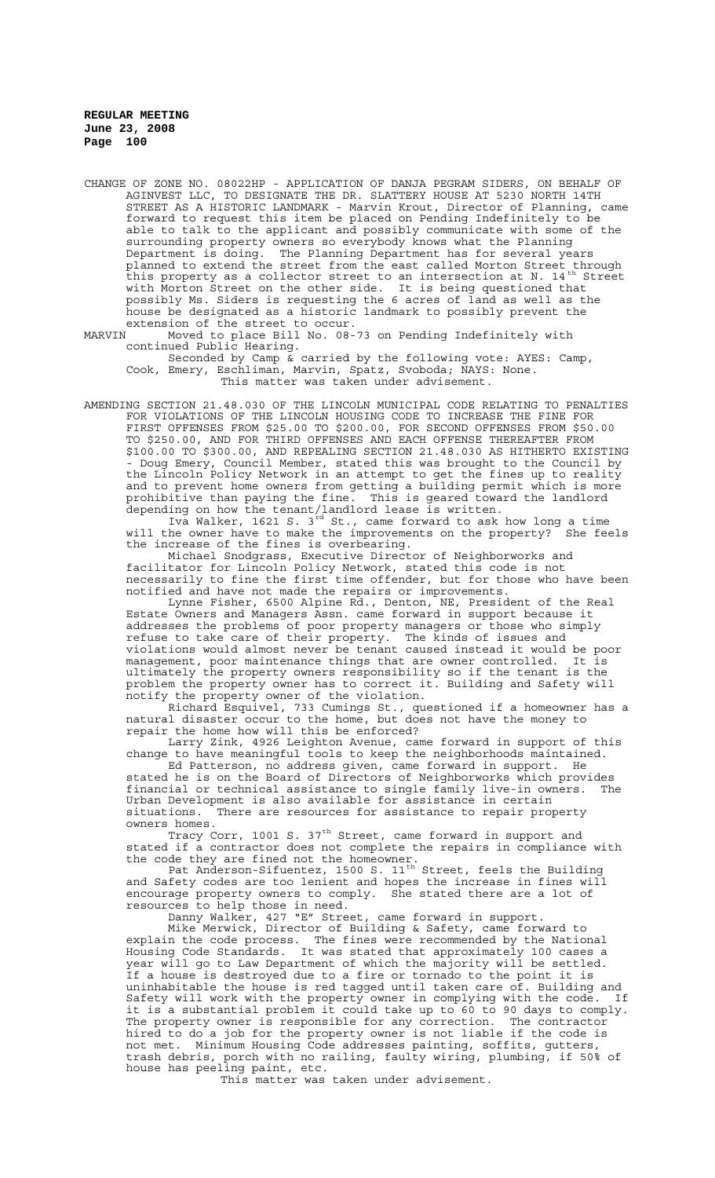CHANGE OF ZONE NO. 08022HP - APPLICATION OF DANJA PEGRAM SIDERS, ON BEHALF OF AGINVEST LLC, TO DESIGNATE THE DR. SLATTERY HOUSE AT 5230 NORTH 14TH STREET AS A HISTORIC LANDMARK - Marvin Krout, Director of Planning, came forward to request this item be placed on Pending Indefinitely to be able to talk to the applicant and possibly communicate with some of the surrounding property owners so everybody knows what the Planning Department is doing. The Planning Department has for several years planned to extend the street from the east called Morton Street through .<br>this property as a collector street to an intersection at N. 14<sup>th</sup> Street with Morton Street on the other side. It is being questioned that possibly Ms. Siders is requesting the 6 acres of land as well as the house be designated as a historic landmark to possibly prevent the extension of the street to occur.<br>MARVIN Moved to place Bill No. 08-

Moved to place Bill No. 08-73 on Pending Indefinitely with continued Public Hearing.

Seconded by Camp & carried by the following vote: AYES: Camp, Cook, Emery, Eschliman, Marvin, Spatz, Svoboda; NAYS: None. This matter was taken under advisement.

AMENDING SECTION 21.48.030 OF THE LINCOLN MUNICIPAL CODE RELATING TO PENALTIES FOR VIOLATIONS OF THE LINCOLN HOUSING CODE TO INCREASE THE FINE FOR FIRST OFFENSES FROM \$25.00 TO \$200.00, FOR SECOND OFFENSES FROM \$50.00 TO \$250.00, AND FOR THIRD OFFENSES AND EACH OFFENSE THEREAFTER FROM \$100.00 TO \$300.00, AND REPEALING SECTION 21.48.030 AS HITHERTO EXISTING Doug Emery, Council Member, stated this was brought to the Council by the Lincoln Policy Network in an attempt to get the fines up to reality and to prevent home owners from getting a building permit which is more prohibitive than paying the fine. This is geared toward the landlord depending on how the tenant/landlord lease is written.

Iva Walker, 1621 S. 3<sup>rd</sup> St., came forward to ask how long a time will the owner have to make the improvements on the property? She feels the increase of the fines is overbearing.

Michael Snodgrass, Executive Director of Neighborworks and facilitator for Lincoln Policy Network, stated this code is not necessarily to fine the first time offender, but for those who have been notified and have not made the repairs or improvements.

Lynne Fisher, 6500 Alpine Rd., Denton, NE, President of the Real Estate Owners and Managers Assn. came forward in support because it addresses the problems of poor property managers or those who simply refuse to take care of their property. The kinds of issues and violations would almost never be tenant caused instead it would be poor management, poor maintenance things that are owner controlled. It is ultimately the property owners responsibility so if the tenant is the problem the property owner has to correct it. Building and Safety will notify the property owner of the violation.

Richard Esquivel, 733 Cumings St., questioned if a homeowner has a natural disaster occur to the home, but does not have the money to repair the home how will this be enforced?

Larry Zink, 4926 Leighton Avenue, came forward in support of this change to have meaningful tools to keep the neighborhoods maintained.

Ed Patterson, no address given, came forward in support. He stated he is on the Board of Directors of Neighborworks which provides financial or technical assistance to single family live-in owners. The Urban Development is also available for assistance in certain situations. There are resources for assistance to repair property owners homes.

Tracy Corr, 1001 S. 37<sup>th</sup> Street, came forward in support and stated if a contractor does not complete the repairs in compliance with the code they are fined not the homeowner.

Pat Anderson-Sifuentez, 1500 S. 11<sup>th</sup> Street, feels the Building and Safety codes are too lenient and hopes the increase in fines will encourage property owners to comply. She stated there are a lot of resources to help those in need.

Danny Walker, 427 "E" Street, came forward in support.

 Mike Merwick, Director of Building & Safety, came forward to explain the code process. The fines were recommended by the National Housing Code Standards. It was stated that approximately 100 cases a year will go to Law Department of which the majority will be settled. If a house is destroyed due to a fire or tornado to the point it is uninhabitable the house is red tagged until taken care of. Building and Safety will work with the property owner in complying with the code. If it is a substantial problem it could take up to 60 to 90 days to comply. The property owner is responsible for any correction. The contractor hired to do a job for the property owner is not liable if the code is not met. Minimum Housing Code addresses painting, soffits, gutters, trash debris, porch with no railing, faulty wiring, plumbing, if 50% of house has peeling paint, etc.

This matter was taken under advisement.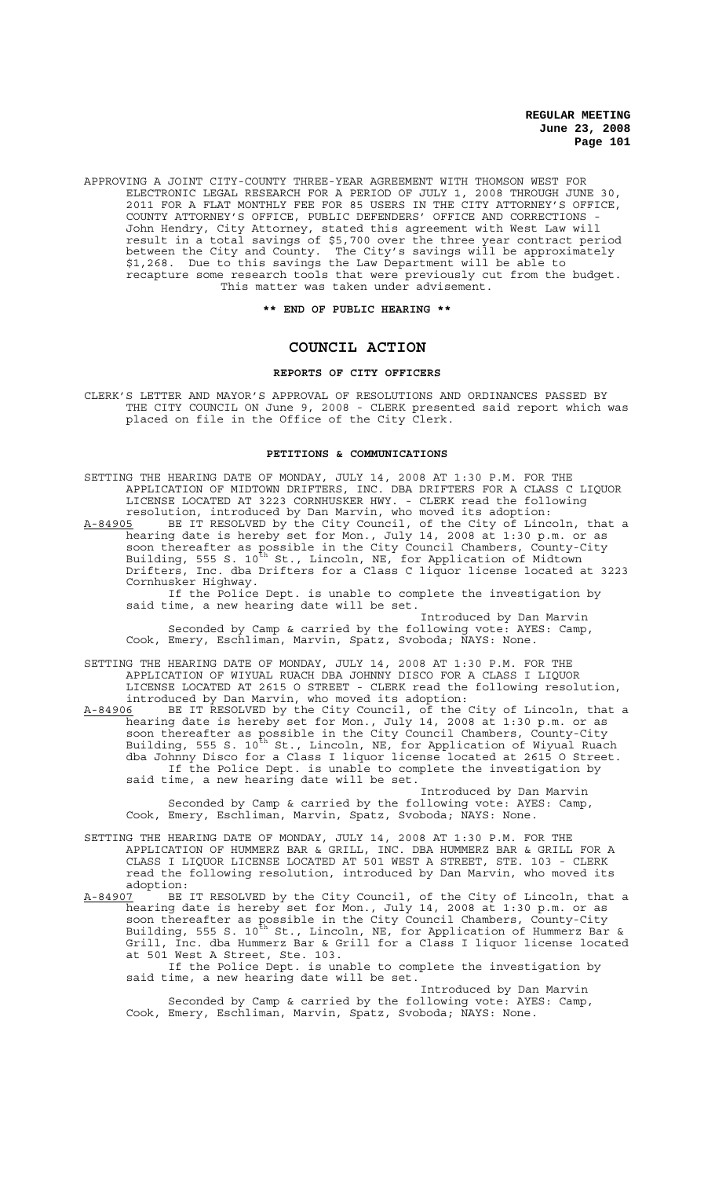APPROVING A JOINT CITY-COUNTY THREE-YEAR AGREEMENT WITH THOMSON WEST FOR ELECTRONIC LEGAL RESEARCH FOR A PERIOD OF JULY 1, 2008 THROUGH JUNE 30, 2011 FOR A FLAT MONTHLY FEE FOR 85 USERS IN THE CITY ATTORNEY'S OFFICE, COUNTY ATTORNEY'S OFFICE, PUBLIC DEFENDERS' OFFICE AND CORRECTIONS - John Hendry, City Attorney, stated this agreement with West Law will result in a total savings of \$5,700 over the three year contract period between the City and County. The City's savings will be approximately \$1,268. Due to this savings the Law Department will be able to recapture some research tools that were previously cut from the budget. This matter was taken under advisement.

#### **\*\* END OF PUBLIC HEARING \*\***

# **COUNCIL ACTION**

### **REPORTS OF CITY OFFICERS**

CLERK'S LETTER AND MAYOR'S APPROVAL OF RESOLUTIONS AND ORDINANCES PASSED BY THE CITY COUNCIL ON June 9, 2008 - CLERK presented said report which was placed on file in the Office of the City Clerk.

### **PETITIONS & COMMUNICATIONS**

| SETTING THE HEARING DATE OF MONDAY, JULY 14, 2008 AT 1:30 P.M. FOR THE<br>APPLICATION OF MIDTOWN DRIFTERS, INC. DBA DRIFTERS FOR A CLASS C LIQUOR<br>LICENSE LOCATED AT 3223 CORNHUSKER HWY. - CLERK read the following<br>resolution, introduced by Dan Marvin, who moved its adoption:<br>BE IT RESOLVED by the City Council, of the City of Lincoln, that a<br>A-84905<br>hearing date is hereby set for Mon., July 14, 2008 at 1:30 p.m. or as<br>soon thereafter as possible in the City Council Chambers, County-City<br>Building, 555 S. 10 <sup>th</sup> St., Lincoln, NE, for Application of Midtown<br>Drifters, Inc. dba Drifters for a Class C liquor license located at 3223<br>Cornhusker Highway. |
|------------------------------------------------------------------------------------------------------------------------------------------------------------------------------------------------------------------------------------------------------------------------------------------------------------------------------------------------------------------------------------------------------------------------------------------------------------------------------------------------------------------------------------------------------------------------------------------------------------------------------------------------------------------------------------------------------------------|
| If the Police Dept. is unable to complete the investigation by<br>said time, a new hearing date will be set.<br>Introduced by Dan Marvin                                                                                                                                                                                                                                                                                                                                                                                                                                                                                                                                                                         |
| Seconded by Camp & carried by the following vote: AYES: Camp,<br>Cook, Emery, Eschliman, Marvin, Spatz, Svoboda; NAYS: None.                                                                                                                                                                                                                                                                                                                                                                                                                                                                                                                                                                                     |
| SETTING THE HEARING DATE OF MONDAY, JULY 14, 2008 AT 1:30 P.M. FOR THE<br>APPLICATION OF WIYUAL RUACH DBA JOHNNY DISCO FOR A CLASS I LIQUOR<br>LICENSE LOCATED AT 2615 O STREET - CLERK read the following resolution,<br>introduced by Dan Marvin, who moved its adoption:                                                                                                                                                                                                                                                                                                                                                                                                                                      |
| BE IT RESOLVED by the City Council, of the City of Lincoln, that a<br>A-84906<br>hearing date is hereby set for Mon., July 14, 2008 at 1:30 p.m. or as<br>soon thereafter as possible in the City Council Chambers, County-City<br>Building, 555 S. 10 <sup>th</sup> St., Lincoln, NE, for Application of Wiyual Ruach<br>dba Johnny Disco for a Class I liquor license located at 2615 O Street.<br>If the Police Dept. is unable to complete the investigation by<br>said time, a new hearing date will be set.                                                                                                                                                                                                |
| Introduced by Dan Marvin<br>Seconded by Camp & carried by the following vote: AYES: Camp,<br>Cook, Emery, Eschliman, Marvin, Spatz, Svoboda; NAYS: None.                                                                                                                                                                                                                                                                                                                                                                                                                                                                                                                                                         |
| SETTING THE HEARING DATE OF MONDAY, JULY 14, 2008 AT 1:30 P.M. FOR THE<br>APPLICATION OF HUMMERZ BAR & GRILL, INC. DBA HUMMERZ BAR & GRILL FOR A<br>CLASS I LIQUOR LICENSE LOCATED AT 501 WEST A STREET, STE. 103 - CLERK<br>read the following resolution, introduced by Dan Marvin, who moved its<br>adoption:                                                                                                                                                                                                                                                                                                                                                                                                 |
| BE IT RESOLVED by the City Council, of the City of Lincoln, that a<br>A-84907<br>hearing date is hereby set for Mon., July 14, 2008 at 1:30 p.m. or as<br>soon thereafter as possible in the City Council Chambers, County-City<br>Building, 555 S. 10 <sup>th</sup> St., Lincoln, NE, for Application of Hummerz Bar &<br>Grill, Inc. dba Hummerz Bar & Grill for a Class I liquor license located<br>at 501 West A Street, Ste. 103.<br>If the Police Dept. is unable to complete the investigation by<br>said time, a new hearing date will be set.                                                                                                                                                           |

Introduced by Dan Marvin Seconded by Camp & carried by the following vote: AYES: Camp, Cook, Emery, Eschliman, Marvin, Spatz, Svoboda; NAYS: None.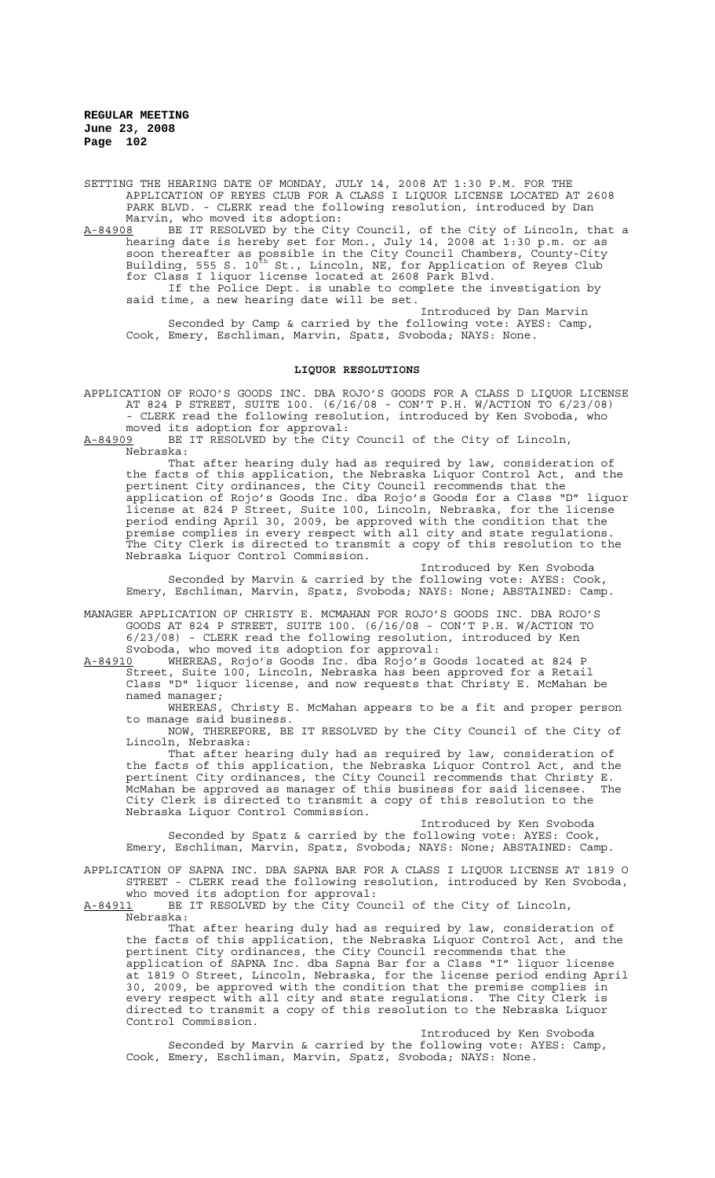SETTING THE HEARING DATE OF MONDAY, JULY 14, 2008 AT 1:30 P.M. FOR THE APPLICATION OF REYES CLUB FOR A CLASS I LIQUOR LICENSE LOCATED AT 2608 PARK BLVD. - CLERK read the following resolution, introduced by Dan Marvin, who moved its adoption:<br>A-84908 BE IT RESOLVED by the City

A-84908 BE IT RESOLVED by the City Council, of the City of Lincoln, that a hearing date is hereby set for Mon., July 14, 2008 at 1:30 p.m. or as soon thereafter as possible in the City Council Chambers, County-City Building, 555 S. 10<sup>th</sup> St., Lincoln, NE, for Application of Reyes Club for Class I liquor license located at 2608 Park Blvd. If the Police Dept. is unable to complete the investigation by

said time, a new hearing date will be set. Introduced by Dan Marvin Seconded by Camp & carried by the following vote: AYES: Camp,

Cook, Emery, Eschliman, Marvin, Spatz, Svoboda; NAYS: None.

### **LIQUOR RESOLUTIONS**

APPLICATION OF ROJO'S GOODS INC. DBA ROJO'S GOODS FOR A CLASS D LIQUOR LICENSE AT 824 P STREET, SUITE 100. (6/16/08 - CON'T P.H. W/ACTION TO 6/23/08) - CLERK read the following resolution, introduced by Ken Svoboda, who

moved its adoption for approval:<br>A-84909 BE IT RESOLVED by the City BE IT RESOLVED by the City Council of the City of Lincoln, Nebraska:

That after hearing duly had as required by law, consideration of the facts of this application, the Nebraska Liquor Control Act, and the pertinent City ordinances, the City Council recommends that the application of Rojo's Goods Inc. dba Rojo's Goods for a Class "D" liquor license at 824 P Street, Suite 100, Lincoln, Nebraska, for the license period ending April 30, 2009, be approved with the condition that the premise complies in every respect with all city and state regulations. The City Clerk is directed to transmit a copy of this resolution to the Nebraska Liquor Control Commission.

Introduced by Ken Svoboda Seconded by Marvin & carried by the following vote: AYES: Cook, Emery, Eschliman, Marvin, Spatz, Svoboda; NAYS: None; ABSTAINED: Camp.

MANAGER APPLICATION OF CHRISTY E. MCMAHAN FOR ROJO'S GOODS INC. DBA ROJO'S GOODS AT 824 P STREET, SUITE 100. (6/16/08 - CON'T P.H. W/ACTION TO 6/23/08) - CLERK read the following resolution, introduced by Ken Svoboda, who moved its adoption for approval:

A-84910 WHEREAS, Rojo's Goods Inc. dba Rojo's Goods located at 824 P Street, Suite 100, Lincoln, Nebraska has been approved for a Retail Class "D" liquor license, and now requests that Christy E. McMahan be named manager;<br>WHEREAS,

Christy E. McMahan appears to be a fit and proper person to manage said business. NOW, THEREFORE, BE IT RESOLVED by the City Council of the City of

Lincoln, Nebraska:

That after hearing duly had as required by law, consideration of the facts of this application, the Nebraska Liquor Control Act, and the pertinent City ordinances, the City Council recommends that Christy E. McMahan be approved as manager of this business for said licensee. The City Clerk is directed to transmit a copy of this resolution to the Nebraska Liquor Control Commission.

Introduced by Ken Svoboda Seconded by Spatz & carried by the following vote: AYES: Cook, Emery, Eschliman, Marvin, Spatz, Svoboda; NAYS: None; ABSTAINED: Camp.

APPLICATION OF SAPNA INC. DBA SAPNA BAR FOR A CLASS I LIQUOR LICENSE AT 1819 O STREET - CLERK read the following resolution, introduced by Ken Svoboda, who moved its adoption for approval:

A-84911 BE IT RESOLVED by the City Council of the City of Lincoln, Nebraska:

That after hearing duly had as required by law, consideration of the facts of this application, the Nebraska Liquor Control Act, and the pertinent City ordinances, the City Council recommends that the application of SAPNA Inc. dba Sapna Bar for a Class "I" liquor license at 1819 O Street, Lincoln, Nebraska, for the license period ending April 30, 2009, be approved with the condition that the premise complies in every respect with all city and state regulations. The City Clerk is directed to transmit a copy of this resolution to the Nebraska Liquor<br>directed to transmit a copy of this resolution to the Nebraska Liquor Control Commission.

Introduced by Ken Svoboda Seconded by Marvin & carried by the following vote: AYES: Camp, Cook, Emery, Eschliman, Marvin, Spatz, Svoboda; NAYS: None.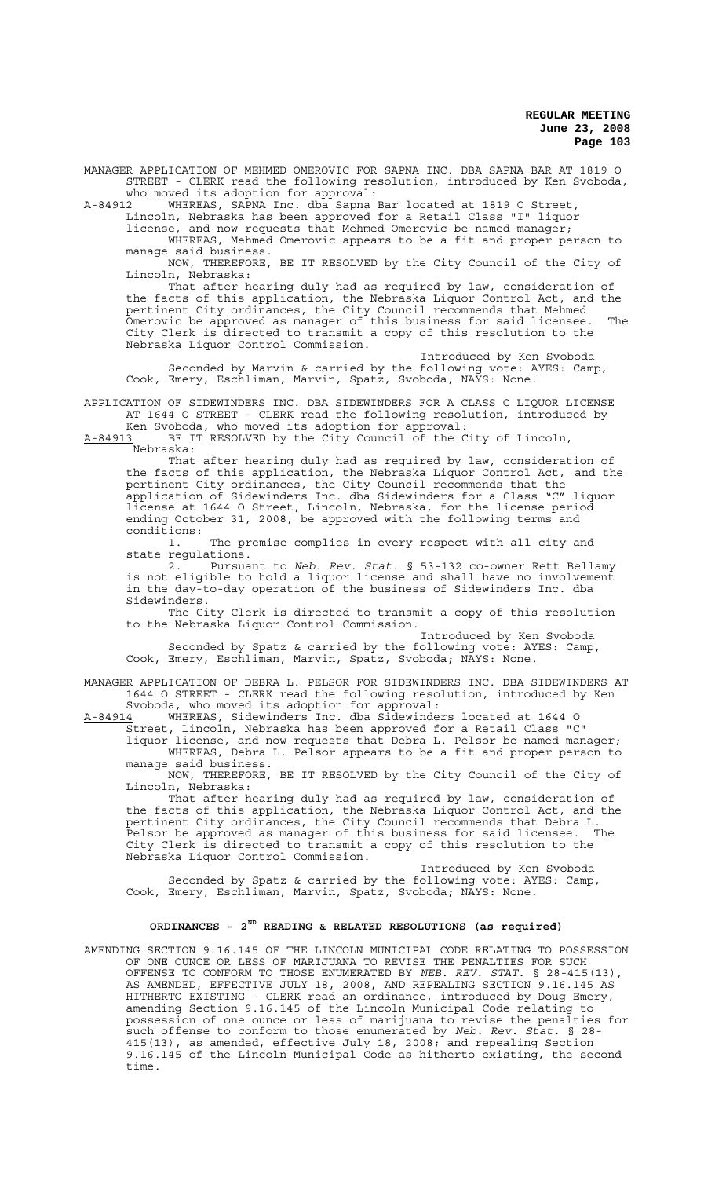MANAGER APPLICATION OF MEHMED OMEROVIC FOR SAPNA INC. DBA SAPNA BAR AT 1819 O STREET - CLERK read the following resolution, introduced by Ken Svoboda, who moved its adoption for approval:<br>A-84912 WHEREAS, SAPNA Inc. dba Sapna 1

A-84912 WHEREAS, SAPNA Inc. dba Sapna Bar located at 1819 O Street, Lincoln, Nebraska has been approved for a Retail Class "I" liquor

license, and now requests that Mehmed Omerovic be named manager;

WHEREAS, Mehmed Omerovic appears to be a fit and proper person to manage said business.

NOW, THEREFORE, BE IT RESOLVED by the City Council of the City of Lincoln, Nebraska:

That after hearing duly had as required by law, consideration of the facts of this application, the Nebraska Liquor Control Act, and the pertinent City ordinances, the City Council recommends that Mehmed Omerovic be approved as manager of this business for said licensee. The City Clerk is directed to transmit a copy of this resolution to the Nebraska Liquor Control Commission.

Introduced by Ken Svoboda Seconded by Marvin & carried by the following vote: AYES: Camp, Cook, Emery, Eschliman, Marvin, Spatz, Svoboda; NAYS: None.

APPLICATION OF SIDEWINDERS INC. DBA SIDEWINDERS FOR A CLASS C LIQUOR LICENSE AT 1644 O STREET - CLERK read the following resolution, introduced by Ken Svoboda, who moved its adoption for approval:

A-84913 BE IT RESOLVED by the City Council of the City of Lincoln, <u>A-84913</u> BE I'<br>:Nebraska

That after hearing duly had as required by law, consideration of the facts of this application, the Nebraska Liquor Control Act, and the pertinent City ordinances, the City Council recommends that the application of Sidewinders Inc. dba Sidewinders for a Class "C" liquor license at 1644 O Street, Lincoln, Nebraska, for the license period ending October 31, 2008, be approved with the following terms and conditions:

1. The premise complies in every respect with all city and state regulations.

2. Pursuant to *Neb. Rev. Stat.* § 53-132 co-owner Rett Bellamy is not eligible to hold a liquor license and shall have no involvement in the day-to-day operation of the business of Sidewinders Inc. dba Sidewinders.

The City Clerk is directed to transmit a copy of this resolution to the Nebraska Liquor Control Commission.

Introduced by Ken Svoboda Seconded by Spatz & carried by the following vote: AYES: Camp, Cook, Emery, Eschliman, Marvin, Spatz, Svoboda; NAYS: None.

MANAGER APPLICATION OF DEBRA L. PELSOR FOR SIDEWINDERS INC. DBA SIDEWINDERS AT 1644 O STREET - CLERK read the following resolution, introduced by Ken

Svoboda, who moved its adoption for approval:<br>A-84914 WHEREAS, Sidewinders Inc. dba Sidewinde WHEREAS, Sidewinders Inc. dba Sidewinders located at 1644 O

Street, Lincoln, Nebraska has been approved for a Retail Class "C" liquor license, and now requests that Debra L. Pelsor be named manager; WHEREAS, Debra L. Pelsor appears to be a fit and proper person to manage said business.

NOW, THEREFORE, BE IT RESOLVED by the City Council of the City of Lincoln, Nebraska:

That after hearing duly had as required by law, consideration of the facts of this application, the Nebraska Liquor Control Act, and the pertinent City ordinances, the City Council recommends that Debra L. Pelsor be approved as manager of this business for said licensee. The City Clerk is directed to transmit a copy of this resolution to the Nebraska Liquor Control Commission.

Introduced by Ken Svoboda Seconded by Spatz & carried by the following vote: AYES: Camp, Cook, Emery, Eschliman, Marvin, Spatz, Svoboda; NAYS: None.

# **ORDINANCES - 2ND READING & RELATED RESOLUTIONS (as required)**

AMENDING SECTION 9.16.145 OF THE LINCOLN MUNICIPAL CODE RELATING TO POSSESSION OF ONE OUNCE OR LESS OF MARIJUANA TO REVISE THE PENALTIES FOR SUCH OFFENSE TO CONFORM TO THOSE ENUMERATED BY *NEB. REV. STAT.* § 28-415(13), AS AMENDED, EFFECTIVE JULY 18, 2008, AND REPEALING SECTION 9.16.145 AS HITHERTO EXISTING - CLERK read an ordinance, introduced by Doug Emery, amending Section 9.16.145 of the Lincoln Municipal Code relating to possession of one ounce or less of marijuana to revise the penalties for such offense to conform to those enumerated by *Neb. Rev. Stat.* § 28- 415(13), as amended, effective July 18, 2008; and repealing Section 9.16.145 of the Lincoln Municipal Code as hitherto existing, the second time.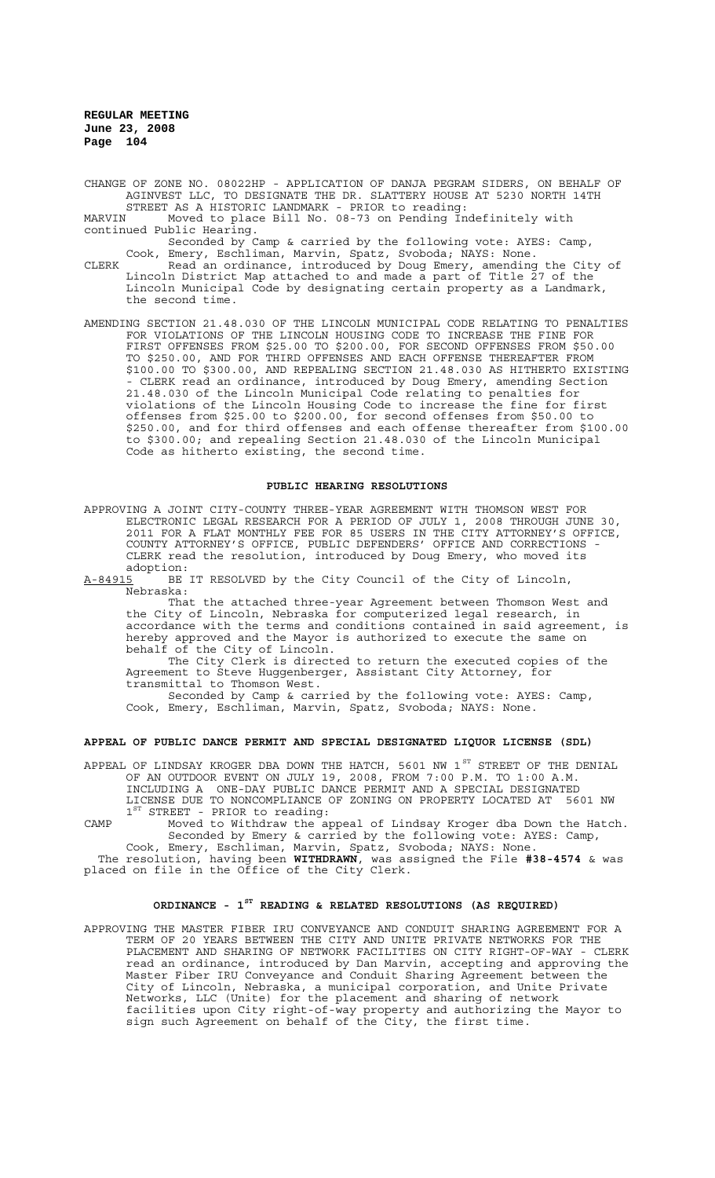CHANGE OF ZONE NO. 08022HP - APPLICATION OF DANJA PEGRAM SIDERS, ON BEHALF OF AGINVEST LLC, TO DESIGNATE THE DR. SLATTERY HOUSE AT 5230 NORTH 14TH STREET AS A HISTORIC LANDMARK - PRIOR to reading:

MARVIN Moved to place Bill No. 08-73 on Pending Indefinitely with continued Public Hearing.

Seconded by Camp & carried by the following vote: AYES: Camp, Cook, Emery, Eschliman, Marvin, Spatz, Svoboda; NAYS: None.

CLERK Read an ordinance, introduced by Doug Emery, amending the City of Lincoln District Map attached to and made a part of Title 27 of the Lincoln Municipal Code by designating certain property as a Landmark, the second time.

AMENDING SECTION 21.48.030 OF THE LINCOLN MUNICIPAL CODE RELATING TO PENALTIES FOR VIOLATIONS OF THE LINCOLN HOUSING CODE TO INCREASE THE FINE FOR FIRST OFFENSES FROM \$25.00 TO \$200.00, FOR SECOND OFFENSES FROM \$50.00 TO \$250.00, AND FOR THIRD OFFENSES AND EACH OFFENSE THEREAFTER FROM \$100.00 TO \$300.00, AND REPEALING SECTION 21.48.030 AS HITHERTO EXISTING - CLERK read an ordinance, introduced by Doug Emery, amending Section 21.48.030 of the Lincoln Municipal Code relating to penalties for violations of the Lincoln Housing Code to increase the fine for first offenses from \$25.00 to \$200.00, for second offenses from \$50.00 to \$250.00, and for third offenses and each offense thereafter from \$100.00 to \$300.00; and repealing Section 21.48.030 of the Lincoln Municipal Code as hitherto existing, the second time.

### **PUBLIC HEARING RESOLUTIONS**

APPROVING A JOINT CITY-COUNTY THREE-YEAR AGREEMENT WITH THOMSON WEST FOR ELECTRONIC LEGAL RESEARCH FOR A PERIOD OF JULY 1, 2008 THROUGH JUNE 30, 2011 FOR A FLAT MONTHLY FEE FOR 85 USERS IN THE CITY ATTORNEY'S OFFICE, COUNTY ATTORNEY'S OFFICE, PUBLIC DEFENDERS' OFFICE AND CORRECTIONS - CLERK read the resolution, introduced by Doug Emery, who moved its adoption:

A-84915 BE IT RESOLVED by the City Council of the City of Lincoln, Nebraska:

That the attached three-year Agreement between Thomson West and the City of Lincoln, Nebraska for computerized legal research, in accordance with the terms and conditions contained in said agreement, is hereby approved and the Mayor is authorized to execute the same on behalf of the City of Lincoln.

The City Clerk is directed to return the executed copies of the Agreement to Steve Huggenberger, Assistant City Attorney, for transmittal to Thomson West.

Seconded by Camp & carried by the following vote: AYES: Camp, Cook, Emery, Eschliman, Marvin, Spatz, Svoboda; NAYS: None.

### **APPEAL OF PUBLIC DANCE PERMIT AND SPECIAL DESIGNATED LIQUOR LICENSE (SDL)**

APPEAL OF LINDSAY KROGER DBA DOWN THE HATCH, 5601 NW 1 $^{\rm{ST}}$  STREET OF THE DENIAL OF AN OUTDOOR EVENT ON JULY 19, 2008, FROM 7:00 P.M. TO 1:00 A.M. INCLUDING A ONE-DAY PUBLIC DANCE PERMIT AND A SPECIAL DESIGNATED LICENSE DUE TO NONCOMPLIANCE OF ZONING ON PROPERTY LOCATED AT 5601 NW  $1<sup>ST</sup>$  STREET - PRIOR to reading:

CAMP Moved to Withdraw the appeal of Lindsay Kroger dba Down the Hatch. Seconded by Emery & carried by the following vote: AYES: Camp, Cook, Emery, Eschliman, Marvin, Spatz, Svoboda; NAYS: None.

 The resolution, having been **WITHDRAWN**, was assigned the File **#38-4574** & was placed on file in the Office of the City Clerk.

# **ORDINANCE - 1ST READING & RELATED RESOLUTIONS (AS REQUIRED)**

APPROVING THE MASTER FIBER IRU CONVEYANCE AND CONDUIT SHARING AGREEMENT FOR A TERM OF 20 YEARS BETWEEN THE CITY AND UNITE PRIVATE NETWORKS FOR THE PLACEMENT AND SHARING OF NETWORK FACILITIES ON CITY RIGHT-OF-WAY - CLERK read an ordinance, introduced by Dan Marvin, accepting and approving the Master Fiber IRU Conveyance and Conduit Sharing Agreement between the City of Lincoln, Nebraska, a municipal corporation, and Unite Private Networks, LLC (Unite) for the placement and sharing of network facilities upon City right-of-way property and authorizing the Mayor to sign such Agreement on behalf of the City, the first time.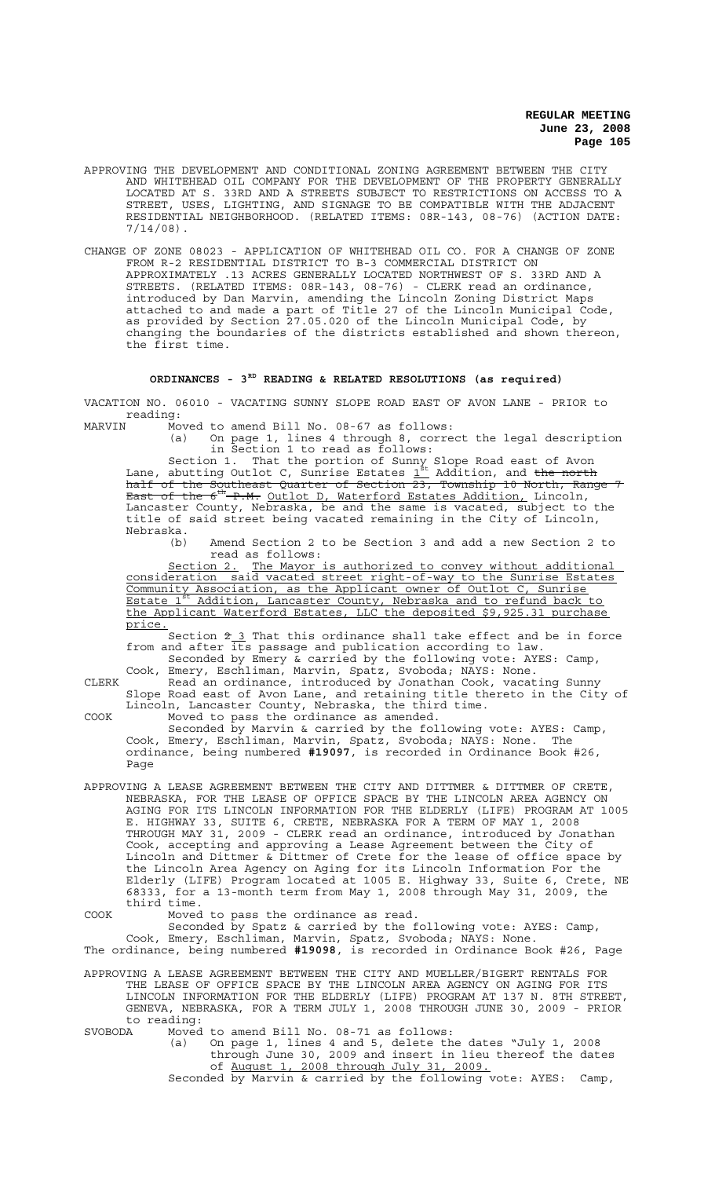- APPROVING THE DEVELOPMENT AND CONDITIONAL ZONING AGREEMENT BETWEEN THE CITY AND WHITEHEAD OIL COMPANY FOR THE DEVELOPMENT OF THE PROPERTY GENERALLY LOCATED AT S. 33RD AND A STREETS SUBJECT TO RESTRICTIONS ON ACCESS TO A STREET, USES, LIGHTING, AND SIGNAGE TO BE COMPATIBLE WITH THE ADJACENT RESIDENTIAL NEIGHBORHOOD. (RELATED ITEMS: 08R-143, 08-76) (ACTION DATE:  $7/14/08$ ).
- CHANGE OF ZONE 08023 APPLICATION OF WHITEHEAD OIL CO. FOR A CHANGE OF ZONE FROM R-2 RESIDENTIAL DISTRICT TO B-3 COMMERCIAL DISTRICT ON APPROXIMATELY .13 ACRES GENERALLY LOCATED NORTHWEST OF S. 33RD AND A STREETS. (RELATED ITEMS: 08R-143, 08-76) - CLERK read an ordinance, introduced by Dan Marvin, amending the Lincoln Zoning District Maps attached to and made a part of Title 27 of the Lincoln Municipal Code, as provided by Section 27.05.020 of the Lincoln Municipal Code, by changing the boundaries of the districts established and shown thereon, the first time.

# **ORDINANCES - 3RD READING & RELATED RESOLUTIONS (as required)**

VACATION NO. 06010 - VACATING SUNNY SLOPE ROAD EAST OF AVON LANE - PRIOR to reading:<br>MARVIN Mo

MARVIN Moved to amend Bill No. 08-67 as follows:

(a) On page 1, lines 4 through 8, correct the legal description in Section 1 to read as follows:

Section 1. That the portion of Sunny Slope Road east of Avon Lane, abutting Outlot C, Sunrise Estates  $\mathbb{1}^{\text{st}}$  Addition, and <del>the north</del> half of the Southeast Quarter of Section 23, Township 10 North, Range 7 East of the 6<sup>th</sup> P.M. Outlot D, Waterford Estates Addition, Lincoln, Lancaster County, Nebraska, be and the same is vacated, subject to the title of said street being vacated remaining in the City of Lincoln, Nebraska.<br>(b)

Amend Section 2 to be Section 3 and add a new Section 2 to read as follows:

Section 2. The Mayor is authorized to convey without additional consideration said vacated street right-of-way to the Sunrise Estates Community Association, as the Applicant owner of Outlot C, Sunrise Estate 1<sup>st</sup> Addition, Lancaster County, Nebraska and to refund back to the Applicant Waterford Estates, LLC the deposited \$9,925.31 purchase price.

Section  $2\overline{3}$  That this ordinance shall take effect and be in force from and after its passage and publication according to law. Seconded by Emery & carried by the following vote: AYES: Camp,

Cook, Emery, Eschliman, Marvin, Spatz, Svoboda; NAYS: None. CLERK Read an ordinance, introduced by Jonathan Cook, vacating Sunny Slope Road east of Avon Lane, and retaining title thereto in the City of Lincoln, Lancaster County, Nebraska, the third time. COOK Moved to pass the ordinance as amended.

Seconded by Marvin & carried by the following vote: AYES: Camp, Cook, Emery, Eschliman, Marvin, Spatz, Svoboda; NAYS: None. The ordinance, being numbered **#19097**, is recorded in Ordinance Book #26, Page

APPROVING A LEASE AGREEMENT BETWEEN THE CITY AND DITTMER & DITTMER OF CRETE, NEBRASKA, FOR THE LEASE OF OFFICE SPACE BY THE LINCOLN AREA AGENCY ON AGING FOR ITS LINCOLN INFORMATION FOR THE ELDERLY (LIFE) PROGRAM AT 1005 E. HIGHWAY 33, SUITE 6, CRETE, NEBRASKA FOR A TERM OF MAY 1, 2008 THROUGH MAY 31, 2009 - CLERK read an ordinance, introduced by Jonathan Cook, accepting and approving a Lease Agreement between the City of Lincoln and Dittmer & Dittmer of Crete for the lease of office space by the Lincoln Area Agency on Aging for its Lincoln Information For the Elderly (LIFE) Program located at 1005 E. Highway 33, Suite 6, Crete, NE 68333, for a 13-month term from May 1, 2008 through May 31, 2009, the third time.

COOK Moved to pass the ordinance as read.

Seconded by Spatz & carried by the following vote: AYES: Camp, Cook, Emery, Eschliman, Marvin, Spatz, Svoboda; NAYS: None. The ordinance, being numbered **#19098**, is recorded in Ordinance Book #26, Page

APPROVING A LEASE AGREEMENT BETWEEN THE CITY AND MUELLER/BIGERT RENTALS FOR THE LEASE OF OFFICE SPACE BY THE LINCOLN AREA AGENCY ON AGING FOR ITS LINCOLN INFORMATION FOR THE ELDERLY (LIFE) PROGRAM AT 137 N. 8TH STREET, GENEVA, NEBRASKA, FOR A TERM JULY 1, 2008 THROUGH JUNE 30, 2009 - PRIOR to reading:<br>SVOBODA Moved

Moved to amend Bill No.  $08-71$  as follows:<br>(a) On page 1, lines 4 and 5, delete the

On page 1, lines 4 and 5, delete the dates "July 1, 2008 through June 30, 2009 and insert in lieu thereof the dates of August 1, 2008 through July 31, 2009. of August 1, 2008 through July 31, Seconded by Marvin & carried by the following vote: AYES: Camp,